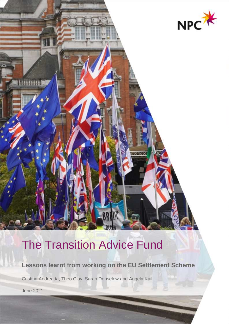

# The Transition Advice Fund

**Lessons learnt from working on the EU Settlement Scheme**

Cristina Andreatta, Theo Clay, Sarah Denselow and Angela Kail

June 2021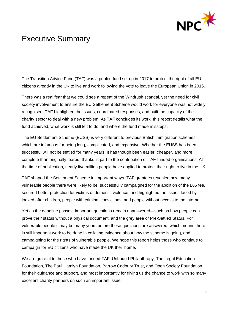

## <span id="page-1-0"></span>Executive Summary

The Transition Advice Fund (TAF) was a pooled fund set up in 2017 to protect the right of all EU citizens already in the UK to live and work following the vote to leave the European Union in 2016.

There was a real fear that we could see a repeat of the Windrush scandal, yet the need for civil society involvement to ensure the EU Settlement Scheme would work for everyone was not widely recognised. TAF highlighted the issues, coordinated responses, and built the capacity of the charity sector to deal with a new problem. As TAF concludes its work, this report details what the fund achieved, what work is still left to do, and where the fund made missteps.

The EU Settlement Scheme (EUSS) is very different to previous British immigration schemes, which are infamous for being long, complicated, and expensive. Whether the EUSS has been successful will not be settled for many years. It has though been easier, cheaper, and more complete than originally feared, thanks in part to the contribution of TAF-funded organisations. At the time of publication, nearly five million people have applied to protect their right to live in the UK.

TAF shaped the Settlement Scheme in important ways. TAF grantees revealed how many vulnerable people there were likely to be, successfully campaigned for the abolition of the £65 fee, secured better protection for victims of domestic violence, and highlighted the issues faced by looked after children, people with criminal convictions, and people without access to the internet.

Yet as the deadline passes, important questions remain unanswered—such as how people can prove their status without a physical document, and the grey area of Pre-Settled Status. For vulnerable people it may be many years before these questions are answered, which means there is still important work to be done in collating evidence about how the scheme is going, and campaigning for the rights of vulnerable people. We hope this report helps those who continue to campaign for EU citizens who have made the UK their home.

We are grateful to those who have funded TAF: Unbound Philanthropy, The Legal Education Foundation, The Paul Hamlyn Foundation, Barrow Cadbury Trust, and Open Society Foundation for their guidance and support, and most importantly for giving us the chance to work with so many excellent charity partners on such an important issue.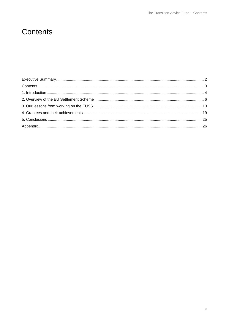## <span id="page-2-0"></span>Contents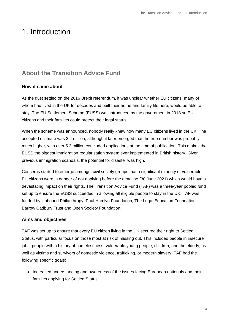## <span id="page-3-0"></span>1. Introduction

### **About the Transition Advice Fund**

#### **How it came about**

As the dust settled on the 2016 Brexit referendum, it was unclear whether EU citizens, many of whom had lived in the UK for decades and built their home and family life here, would be able to stay. The EU Settlement Scheme (EUSS) was introduced by the government in 2018 so EU citizens and their families could protect their legal status.

When the scheme was announced, nobody really knew how many EU citizens lived in the UK. The accepted estimate was 3.4 million, although it later emerged that the true number was probably much higher, with over 5.3 million concluded applications at the time of publication. This makes the EUSS the biggest immigration regularisation system ever implemented in British history. Given previous immigration scandals, the potential for disaster was high.

Concerns started to emerge amongst civil society groups that a significant minority of vulnerable EU citizens were in danger of not applying before the deadline (30 June 2021) which would have a devastating impact on their rights. The Transition Advice Fund (TAF) was a three-year pooled fund set up to ensure the EUSS succeeded in allowing all eligible people to stay in the UK. TAF was funded by Unbound Philanthropy, Paul Hamlyn Foundation, The Legal Education Foundation, Barrow Cadbury Trust and Open Society Foundation.

#### **Aims and objectives**

TAF was set up to ensure that every EU citizen living in the UK secured their right to Settled Status, with particular focus on those most at risk of missing out. This included people in insecure jobs, people with a history of homelessness, vulnerable young people, children, and the elderly, as well as victims and survivors of domestic violence, trafficking, or modern slavery. TAF had the following specific goals:

• Increased understanding and awareness of the issues facing European nationals and their families applying for Settled Status.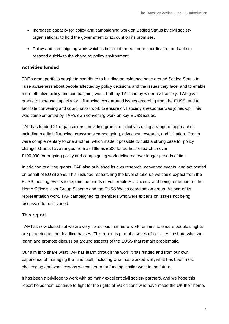- Increased capacity for policy and campaigning work on Settled Status by civil society organisations, to hold the government to account on its promises.
- Policy and campaigning work which is better informed, more coordinated, and able to respond quickly to the changing policy environment.

#### **Activities funded**

TAF's grant portfolio sought to contribute to building an evidence base around Settled Status to raise awareness about people affected by policy decisions and the issues they face, and to enable more effective policy and campaigning work, both by TAF and by wider civil society. TAF gave grants to increase capacity for influencing work around issues emerging from the EUSS, and to facilitate convening and coordination work to ensure civil society's response was joined-up. This was complemented by TAF's own convening work on key EUSS issues.

TAF has funded 21 organisations, providing grants to initiatives using a range of approaches including media influencing, grassroots campaigning, advocacy, research, and litigation. Grants were complementary to one another, which made it possible to build a strong case for policy change. Grants have ranged from as little as £500 for ad hoc research to over £100,000 for ongoing policy and campaigning work delivered over longer periods of time.

In addition to giving grants, TAF also published its own research, convened events, and advocated on behalf of EU citizens. This included researching the level of take-up we could expect from the EUSS; hosting events to explain the needs of vulnerable EU citizens; and being a member of the Home Office's User Group Scheme and the EUSS Wales coordination group. As part of its representation work, TAF campaigned for members who were experts on issues not being discussed to be included.

#### **This report**

TAF has now closed but we are very conscious that more work remains to ensure people's rights are protected as the deadline passes. This report is part of a series of activities to share what we learnt and promote discussion around aspects of the EUSS that remain problematic.

Our aim is to share what TAF has learnt through the work it has funded and from our own experience of managing the fund itself, including what has worked well, what has been most challenging and what lessons we can learn for funding similar work in the future.

It has been a privilege to work with so many excellent civil society partners, and we hope this report helps them continue to fight for the rights of EU citizens who have made the UK their home.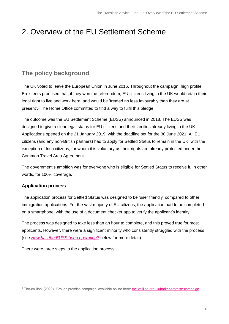## <span id="page-5-0"></span>2. Overview of the EU Settlement Scheme

### **The policy background**

The UK voted to leave the European Union in June 2016. Throughout the campaign, high profile Brexiteers promised that, if they won the referendum, EU citizens living in the UK would retain their legal right to live and work here, and would be 'treated no less favourably than they are at present'. <sup>1</sup> The Home Office committed to find a way to fulfil this pledge.

The outcome was the EU Settlement Scheme (EUSS) announced in 2018. The EUSS was designed to give a clear legal status for EU citizens and their families already living in the UK. Applications opened on the 21 January 2019, with the deadline set for the 30 June 2021. All EU citizens (and any non-British partners) had to apply for Settled Status to remain in the UK, with the exception of Irish citizens, for whom it is voluntary as their rights are already protected under the Common Travel Area Agreement.

The government's ambition was for everyone who is eligible for Settled Status to receive it. In other words, for 100% coverage.

#### **Application process**

The application process for Settled Status was designed to be 'user friendly' compared to other immigration applications. For the vast majority of EU citizens, the application had to be completed on a smartphone, with the use of a document checker app to verify the applicant's identity.

The process was designed to take less than an hour to complete, and this proved true for most applicants. However, there were a significant minority who consistently struggled with the process (see *[How has the EUSS been operating?](#page-8-0)* below for more detail).

There were three steps to the application process:

<sup>1</sup> The3million, (2020), 'Broken promise campaign' available online here: [the3million.org.uk/brokenpromise-campaign](https://www.the3million.org.uk/)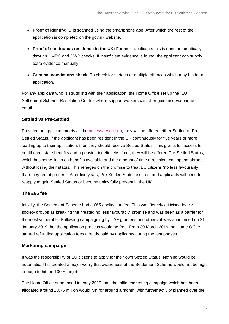- **Proof of identify**: ID is scanned using the smartphone app. After which the rest of the application is completed on the gov.uk website.
- **Proof of continuous residence in the UK:** For most applicants this is done automatically through HMRC and DWP checks. If insufficient evidence is found, the applicant can supply extra evidence manually.
- **Criminal convictions check**: To check for serious or multiple offences which may hinder an application.

For any applicant who is struggling with their application, the Home Office set up the 'EU Settlement Scheme Resolution Centre' where support workers can offer guidance via phone or email.

#### <span id="page-6-0"></span>**Settled vs Pre-Settled**

Provided an applicant meets all the [necessary criteria,](https://assets.publishing.service.gov.uk/government/uploads/system/uploads/attachment_data/file/948009/euss-suitability-v4.0ext.pdf) they will be offered either Settled or Pre-Settled Status. If the applicant has been resident in the UK continuously for five years or more leading up to their application, then they should receive Settled Status. This grants full access to healthcare, state benefits and a pension indefinitely. If not, they will be offered Pre-Settled Status, which has some limits on benefits available and the amount of time a recipient can spend abroad without losing their status. This reneges on the promise to treat EU citizens 'no less favourably than they are at present'. After five years, Pre-Settled Status expires, and applicants will need to reapply to gain Settled Status or become unlawfully present in the UK.

#### **The £65 fee**

Initially, the Settlement Scheme had a £65 application fee. This was fiercely criticised by civil society groups as breaking the 'treated no less favourably' promise and was seen as a barrier for the most vulnerable. Following campaigning by TAF grantees and others, it was announced on 21 January 2019 that the application process would be free. From 30 March 2019 the Home Office started refunding application fees already paid by applicants during the test phases.

#### **Marketing campaign**

It was the responsibility of EU citizens to apply for their own Settled Status. Nothing would be automatic. This created a major worry that awareness of the Settlement Scheme would not be high enough to hit the 100% target.

The Home Office announced in early 2019 that 'the initial marketing campaign which has been allocated around £3.75 million would run for around a month, with further activity planned over the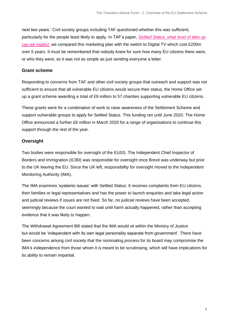next two years.' Civil society groups including TAF questioned whether this was sufficient, particularly for the people least likely to apply. In TAF's paper, *[Settled Status, what level of take up](https://www.thinknpc.org/resource-hub/settled-status-what-level-of-take-up-can-we-expect/)  [can we expect](https://www.thinknpc.org/resource-hub/settled-status-what-level-of-take-up-can-we-expect/)* we compared this marketing plan with the switch to Digital TV which cost £200m over 5 years. It must be remembered that nobody knew for sure how many EU citizens there were, or who they were, so it was not as simple as just sending everyone a letter.

#### **Grant scheme**

Responding to concerns from TAF and other civil society groups that outreach and support was not sufficient to ensure that all vulnerable EU citizens would secure their status, the Home Office set up a grant scheme awarding a total of £9 million to 57 charities supporting vulnerable EU citizens.

These grants were for a combination of work to raise awareness of the Settlement Scheme and support vulnerable groups to apply for Settled Status. This funding ran until June 2020. The Home Office announced a further £8 million in March 2020 for a range of organisations to continue this support through the rest of the year.

#### **Oversight**

Two bodies were responsible for oversight of the EUSS. The Independent Chief Inspector of Borders and Immigration (ICIBI) was responsible for oversight once Brexit was underway but prior to the UK leaving the EU. Since the UK left, responsibility for oversight moved to the Independent Monitoring Authority (IMA).

The IMA examines 'systemic issues' with Settled Status. It receives complaints from EU citizens, their families or legal representatives and has the power to launch enquiries and take legal action and judicial reviews if issues are not fixed. So far, no judicial reviews have been accepted, seemingly because the court wanted to wait until harm actually happened, rather than accepting evidence that it was likely to happen.

The Withdrawal Agreement Bill stated that the IMA would sit within the Ministry of Justice but would be 'independent with its own legal personality separate from government'. There have been concerns among civil society that the nominating process for its board may compromise the IMA's independence from those whom it is meant to be scrutinising, which will have implications for its ability to remain impartial.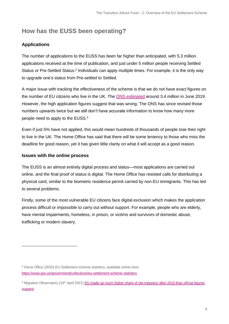### **How has the EUSS been operating?**

#### **Applications**

<span id="page-8-0"></span>The number of applications to the EUSS has been far higher than anticipated, with 5.3 million applications received at the time of publication, and just under 5 million people receiving Settled Status or Pre-Settled Status.<sup>2</sup> Individuals can apply multiple times. For example, it is the only way to upgrade one's status from Pre-settled to Settled.

A major issue with tracking the effectiveness of the scheme is that we do not have exact figures on the number of EU citizens who live in the UK. The [ONS estimated](https://www.ons.gov.uk/peoplepopulationandcommunity/populationandmigration/internationalmigration/articles/noteonthedifferencebetweenonspopulationestimatesbynationalityandhomeofficeeuropeanunionsettlementschemeeussstatistics/2020-02-24) around 3.4 million in June 2019. However, the high application figures suggest that was wrong. The ONS has since revised those numbers upwards twice but we still don't have accurate information to know how many more people need to apply to the EUSS.<sup>3</sup>

Even if just 5% have not applied, this would mean hundreds of thousands of people lose their right to live in the UK. The Home Office has said that there will be some leniency to those who miss the deadline for good reason, yet it has given little clarity on what it will accept as a good reason.

#### **Issues with the online process**

The EUSS is an almost entirely digital process and status—most applications are carried out online, and the final proof of status is digital. The Home Office has resisted calls for distributing a physical card, similar to the biometric residence permit carried by non-EU immigrants. This has led to several problems.

Firstly, some of the most vulnerable EU citizens face digital exclusion which makes the application process difficult or impossible to carry out without support. For example, people who are elderly, have mental impairments, homeless, in prison, or victims and survivors of domestic abuse, trafficking or modern slavery.

<sup>2</sup> Home Office (2020) EU Settlement scheme statistics, available online here: <https://www.gov.uk/government/collections/eu-settlement-scheme-statistics>

<sup>&</sup>lt;sup>3</sup> Migration Observatory (16<sup>th</sup> April 2021) EU made up much higher share of net migration after 2010 than official figures [suggest](https://migrationobservatory.ox.ac.uk/press/eu-made-up-much-higher-share-of-net-migration-after-2010-than-official-figures-suggested/)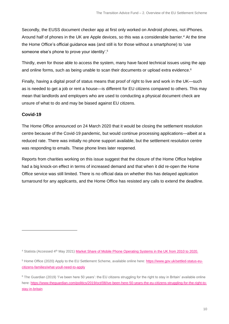Secondly, the EUSS document checker app at first only worked on Android phones, not iPhones. Around half of phones in the UK are Apple devices, so this was a considerable barrier. <sup>4</sup> At the time the Home Office's official guidance was (and still is for those without a smartphone) to 'use someone else's phone to prove your identity'. 5

Thirdly, even for those able to access the system, many have faced technical issues using the app and online forms, such as being unable to scan their documents or upload extra evidence. 6

Finally, having a digital proof of status means that proof of right to live and work in the UK—such as is needed to get a job or rent a house—is different for EU citizens compared to others. This may mean that landlords and employers who are used to conducting a physical document check are unsure of what to do and may be biased against EU citizens.

#### **Covid-19**

The Home Office announced on 24 March 2020 that it would be closing the settlement resolution centre because of the Covid-19 pandemic, but would continue processing applications—albeit at a reduced rate. There was initially no phone support available, but the settlement resolution centre was responding to emails. These phone lines later reopened.

Reports from charities working on this issue suggest that the closure of the Home Office helpline had a big knock-on effect in terms of increased demand and that when it did re-open the Home Office service was still limited. There is no official data on whether this has delayed application turnaround for any applicants, and the Home Office has resisted any calls to extend the deadline.

<sup>4</sup> Statista (Accessed 4th May 2021) [Market Share of Mobile Phone Operating Systems in the UK from 2010 to 2020.](https://www.statista.com/statistics/487373/market-share-mobile-operating-systems-uk/#:~:text=iOS%20had%20the%20highest%20usage,point%20lower%20with%2049.87%20percent)

<sup>5</sup> Home Office (2020) Apply to the EU Settlement Scheme, available online here[: https://www.gov.uk/settled-status-eu](https://www.gov.uk/settled-status-eu-citizens-families/what-youll-need-to-apply)[citizens-families/what-youll-need-to-apply](https://www.gov.uk/settled-status-eu-citizens-families/what-youll-need-to-apply)

<sup>&</sup>lt;sup>6</sup> The Guardian (2019) 'I've been here 50 years': the EU citizens struggling for the right to stay in Britain' available online here[: https://www.theguardian.com/politics/2019/oct/08/ive-been-here-50-years-the-eu-citizens-struggling-for-the-right-to](https://www.theguardian.com/politics/2019/oct/08/ive-been-here-50-years-the-eu-citizens-struggling-for-the-right-to-stay-in-britain)[stay-in-britain](https://www.theguardian.com/politics/2019/oct/08/ive-been-here-50-years-the-eu-citizens-struggling-for-the-right-to-stay-in-britain)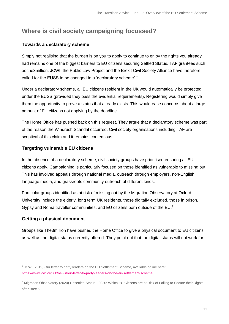## **Where is civil society campaigning focussed?**

#### **Towards a declaratory scheme**

Simply not realising that the burden is on you to apply to continue to enjoy the rights you already had remains one of the biggest barriers to EU citizens securing Settled Status. TAF grantees such as the3million, JCWI, the Public Law Project and the Brexit Civil Society Alliance have therefore called for the EUSS to be changed to a 'declaratory scheme'.<sup>7</sup>

Under a declaratory scheme, all EU citizens resident in the UK would automatically be protected under the EUSS (provided they pass the evidential requirements). Registering would simply give them the opportunity to prove a status that already exists. This would ease concerns about a large amount of EU citizens not applying by the deadline.

The Home Office has pushed back on this request. They argue that a declaratory scheme was part of the reason the Windrush Scandal occurred. Civil society organisations including TAF are sceptical of this claim and it remains contentious.

#### **Targeting vulnerable EU citizens**

In the absence of a declaratory scheme, civil society groups have prioritised ensuring all EU citizens apply. Campaigning is particularly focused on those identified as vulnerable to missing out. This has involved appeals through national media, outreach through employers, non-English language media, and grassroots community outreach of different kinds.

Particular groups identified as at risk of missing out by the Migration Observatory at Oxford University include the elderly, long term UK residents, those digitally excluded, those in prison, Gypsy and Roma traveller communities, and EU citizens born outside of the EU.<sup>8</sup>

#### **Getting a physical document**

Groups like The3million have pushed the Home Office to give a physical document to EU citizens as well as the digital status currently offered. They point out that the digital status will not work for

<sup>7</sup> JCWI (2019) Our letter to party leaders on the EU Settlement Scheme, available online here: <https://www.jcwi.org.uk/news/our-letter-to-party-leaders-on-the-eu-settlement-scheme>

<sup>&</sup>lt;sup>8</sup> Migration Observatory (2020) Unsettled Status - 2020: Which EU Citizens are at Risk of Failing to Secure their Rights after Brexit?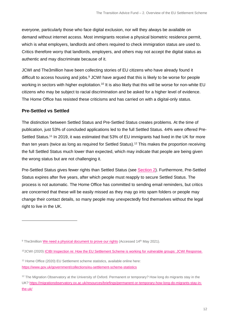everyone, particularly those who face digital exclusion, nor will they always be available on demand without internet access. Most immigrants receive a physical biometric residence permit, which is what employers, landlords and others required to check immigration status are used to. Critics therefore worry that landlords, employers, and others may not accept the digital status as authentic and may discriminate because of it.

JCWI and The3million have been collecting stories of EU citizens who have already found it difficult to access housing and jobs. $9$  JCWI have argued that this is likely to be worse for people working in sectors with higher exploitation.<sup>10</sup> It is also likely that this will be worse for non-white EU citizens who may be subject to racial discrimination and be asked for a higher level of evidence. The Home Office has resisted these criticisms and has carried on with a digital-only status.

#### **Pre-Settled vs Settled**

The distinction between Settled Status and Pre-Settled Status creates problems. At the time of publication, just 53% of concluded applications led to the full Settled Status. 44% were offered Pre-Settled Status.<sup>11</sup> In 2019, it was estimated that 53% of EU immigrants had lived in the UK for more than ten years (twice as long as required for Settled Status).<sup>12</sup> This makes the proportion receiving the full Settled Status much lower than expected, which may indicate that people are being given the wrong status but are not challenging it.

Pre-Settled Status gives fewer rights than Settled Status (see [Section 2\)](#page-6-0). Furthermore, Pre-Settled Status expires after five years, after which people must reapply to secure Settled Status. The process is not automatic. The Home Office has committed to sending email reminders, but critics are concerned that these will be easily missed as they may go into spam folders or people may change their contact details, so many people may unexpectedly find themselves without the legal right to live in the UK.

<sup>&</sup>lt;sup>9</sup> The3million [We need a physical document to prove our rights](https://www.the3million.org.uk/physical-proof) (Accessed 14<sup>th</sup> May 2021).

<sup>10</sup>JCWI (2020) [ICIBI Inspection re: How the EU Settlement Scheme is working for vulnerable groups: JCWI Response.](https://www.jcwi.org.uk/Handlers/Download.ashx?IDMF=92ca102c-0044-4480-989f-6e560c2b2c36)

<sup>11</sup> Home Office (2020) EU Settlement scheme statistics, available online here: <https://www.gov.uk/government/collections/eu-settlement-scheme-statistics>

<sup>&</sup>lt;sup>12</sup> The Migration Observatory at the University of Oxford. Permanent or temporary? How long do migrants stay in the UK[? https://migrationobservatory.ox.ac.uk/resources/briefings/permanent-or-temporary-how-long-do-migrants-stay-in](https://migrationobservatory.ox.ac.uk/resources/briefings/permanent-or-temporary-how-long-do-migrants-stay-in-the-uk/)[the-uk/](https://migrationobservatory.ox.ac.uk/resources/briefings/permanent-or-temporary-how-long-do-migrants-stay-in-the-uk/)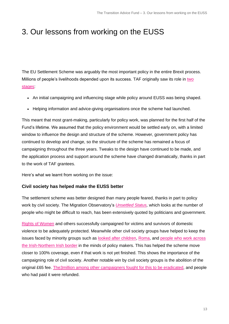## <span id="page-12-0"></span>3. Our lessons from working on the EUSS

The EU Settlement Scheme was arguably the most important policy in the entire Brexit process. Millions of people's livelihoods depended upon its success. TAF originally saw its role in [two](https://www.thinknpc.org/resource-hub/transition-advice-fund-position-paper/)  [stages:](https://www.thinknpc.org/resource-hub/transition-advice-fund-position-paper/)

- An initial campaigning and influencing stage while policy around EUSS was being shaped.
- Helping information and advice-giving organisations once the scheme had launched.

This meant that most grant-making, particularly for policy work, was planned for the first half of the Fund's lifetime. We assumed that the policy environment would be settled early on, with a limited window to influence the design and structure of the scheme. However, government policy has continued to develop and change, so the structure of the scheme has remained a focus of campaigning throughout the three years. Tweaks to the design have continued to be made, and the application process and support around the scheme have changed dramatically, thanks in part to the work of TAF grantees.

Here's what we learnt from working on the issue:

#### **Civil society has helped make the EUSS better**

The settlement scheme was better designed than many people feared, thanks in part to policy work by civil society. The Migration Observatory's *[Unsettled Status,](https://migrationobservatory.ox.ac.uk/resources/reports/unsettled-status-2020/)* which looks at the number of people who might be difficult to reach, has been extensively quoted by politicians and government.

[Rights of Women](https://rightsofwomen.org.uk/) and others successfully campaigned for victims and survivors of domestic violence to be adequately protected. Meanwhile other civil society groups have helped to keep the issues faced by minority groups such as [looked after children,](https://www.childrenssociety.org.uk/sites/default/files/2020-10/looked-after-children-and-the-eu-settlement-scheme-a-guide-for-local-authorities.pdf) [Roma,](https://www.romasupportgroup.org.uk/uploads/9/3/6/8/93687016/briefing_mp_la_for_grt_appg_event_roma_and_euss_final.pdf) and [people who work across](https://caj.org.uk/wp-content/uploads/2020/08/Rights-and-the-EU-future-relationship-Aug-20.pdf)  [the Irish-Northern Irish border](https://caj.org.uk/wp-content/uploads/2020/08/Rights-and-the-EU-future-relationship-Aug-20.pdf) in the minds of policy makers. This has helped the scheme move closer to 100% coverage, even if that work is not yet finished. This shows the importance of the campaigning role of civil society. Another notable win by civil society groups is the abolition of the original £65 fee. [The3million among other campaigners fought for this to be eradicated,](https://www.independent.co.uk/news/uk/politics/brexit-eu-citizens-settled-status-fee-cost-scrapped-theresa-may-home-office-a8738941.html) and people who had paid it were refunded.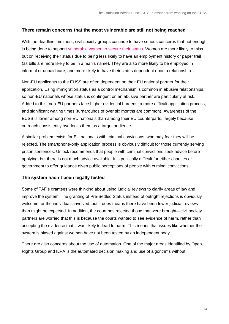#### **There remain concerns that the most vulnerable are still not being reached**

With the deadline imminent, civil society groups continue to have serious concerns that not enough is being done to support [vulnerable women to secure their status.](https://migrationobservatory.ox.ac.uk/resources/reports/unsettled-status-2020/) Women are more likely to miss out on receiving their status due to being less likely to have an employment history or paper trail (as bills are more likely to be in a man's name). They are also more likely to be employed in informal or unpaid care, and more likely to have their status dependent upon a relationship.

Non-EU applicants to the EUSS are often dependent on their EU national partner for their application. Using immigration status as a control mechanism is common in abusive relationships, so non-EU nationals whose status is contingent on an abusive partner are particularly at risk. Added to this, non-EU partners face higher evidential burdens, a more difficult application process, and significant waiting times (turnarounds of over six months are common). Awareness of the EUSS is lower among non-EU nationals than among their EU counterparts, largely because outreach consistently overlooks them as a target audience.

A similar problem exists for EU nationals with criminal convictions, who may fear they will be rejected. The smartphone-only application process is obviously difficult for those currently serving prison sentences. Unlock recommends that people with criminal convictions seek advice before applying, but there is not much advice available. It is politically difficult for either charities or government to offer guidance given public perceptions of people with criminal convictions.

#### **The system hasn't been legally tested**

Some of TAF's grantees were thinking about using judicial reviews to clarify areas of law and improve the system. The granting of Pre-Settled Status instead of outright rejections is obviously welcome for the individuals involved, but it does means there have been fewer judicial reviews than might be expected. In addition, the court has rejected those that were brought—civil society partners are worried that this is because the courts wanted to see evidence of harm, rather than accepting the evidence that it was likely to lead to harm. This means that issues like whether the system is biased against women have not been tested by an independent body.

There are also concerns about the use of automation. One of the major areas identified by Open Rights Group and ILPA is the automated decision making and use of algorithms without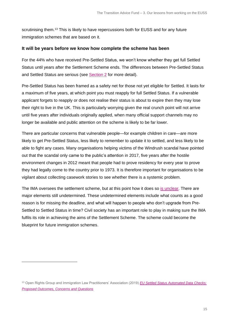scrutinising them.<sup>13</sup> This is likely to have repercussions both for EUSS and for any future immigration schemes that are based on it.

#### **It will be years before we know how complete the scheme has been**

For the 44% who have received Pre-Settled Status, we won't know whether they get full Settled Status until years after the Settlement Scheme ends. The differences between Pre-Settled Status and Settled Status are serious (see [Section 2](#page-6-0) for more detail).

Pre-Settled Status has been framed as a safety net for those not yet eligible for Settled. It lasts for a maximum of five years, at which point you must reapply for full Settled Status. If a vulnerable applicant forgets to reapply or does not realise their status is about to expire then they may lose their right to live in the UK. This is particularly worrying given the real crunch point will not arrive until five years after individuals originally applied, when many official support channels may no longer be available and public attention on the scheme is likely to be far lower.

There are particular concerns that vulnerable people—for example children in care—are more likely to get Pre-Settled Status, less likely to remember to update it to settled, and less likely to be able to fight any cases. Many organisations helping victims of the Windrush scandal have pointed out that the scandal only came to the public's attention in 2017, five years after the hostile environment changes in 2012 meant that people had to prove residency for every year to prove they had legally come to the country prior to 1973. It is therefore important for organisations to be vigilant about collecting casework stories to see whether there is a systemic problem.

The IMA oversees the settlement scheme, but at this point how it does so [is unclear.](https://www.instituteforgovernment.org.uk/blog/independent-monitoring-authority-credibility) There are major elements still undetermined. These undetermined elements include what counts as a good reason is for missing the deadline, and what will happen to people who don't upgrade from Pre-Settled to Settled Status in time? Civil society has an important role to play in making sure the IMA fulfils its role in achieving the aims of the Settlement Scheme. The scheme could become the blueprint for future immigration schemes.

<sup>13</sup> Open Rights Group and Immigration Law Practitioners' Association (2019) *[EU Settled Status Automated Data](https://www.openrightsgroup.org/publications/eu-settled-status-automated-data-checks/) Checks: [Proposed Outcomes, Concerns and Questions](https://www.openrightsgroup.org/publications/eu-settled-status-automated-data-checks/)*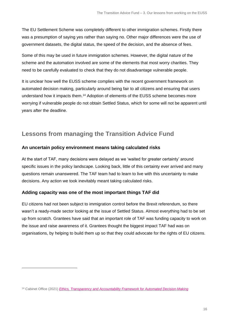The EU Settlement Scheme was completely different to other immigration schemes. Firstly there was a presumption of saying yes rather than saying no. Other major differences were the use of government datasets, the digital status, the speed of the decision, and the absence of fees.

Some of this may be used in future immigration schemes. However, the digital nature of the scheme and the automation involved are some of the elements that most worry charities. They need to be carefully evaluated to check that they do not disadvantage vulnerable people.

It is unclear how well the EUSS scheme complies with the recent government framework on automated decision making, particularly around being fair to all citizens and ensuring that users understand how it impacts them.<sup>14</sup> Adoption of elements of the EUSS scheme becomes more worrying if vulnerable people do not obtain Settled Status, which for some will not be apparent until years after the deadline.

### **Lessons from managing the Transition Advice Fund**

#### **An uncertain policy environment means taking calculated risks**

At the start of TAF, many decisions were delayed as we 'waited for greater certainty' around specific issues in the policy landscape. Looking back, little of this certainty ever arrived and many questions remain unanswered. The TAF team had to learn to live with this uncertainty to make decisions. Any action we took inevitably meant taking calculated risks.

#### **Adding capacity was one of the most important things TAF did**

EU citizens had not been subject to immigration control before the Brexit referendum, so there wasn't a ready-made sector looking at the issue of Settled Status. Almost everything had to be set up from scratch. Grantees have said that an important role of TAF was funding capacity to work on the issue and raise awareness of it. Grantees thought the biggest impact TAF had was on organisations, by helping to build them up so that they could advocate for the rights of EU citizens.

<sup>14</sup> Cabinet Office (2021) *[Ethics, Transparency and Accountability Framework for Automated Decision-Making](https://www.gov.uk/government/publications/ethics-transparency-and-accountability-framework-for-automated-decision-making/ethics-transparency-and-accountability-framework-for-automated-decision-making)*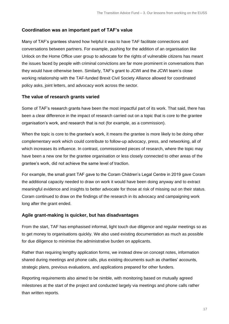#### **Coordination was an important part of TAF's value**

Many of TAF's grantees shared how helpful it was to have TAF facilitate connections and conversations between partners. For example, pushing for the addition of an organisation like Unlock on the Home Office user group to advocate for the rights of vulnerable citizens has meant the issues faced by people with criminal convictions are far more prominent in conversations than they would have otherwise been. Similarly, TAF's grant to JCWI and the JCWI team's close working relationship with the TAF-funded Brexit Civil Society Alliance allowed for coordinated policy asks, joint letters, and advocacy work across the sector.

#### **The value of research grants varied**

Some of TAF's research grants have been the most impactful part of its work. That said, there has been a clear difference in the impact of research carried out on a topic that is core to the grantee organisation's work, and research that is not (for example, as a commission).

When the topic is core to the grantee's work, it means the grantee is more likely to be doing other complementary work which could contribute to follow-up advocacy, press, and networking, all of which increases its influence. In contrast, commissioned pieces of research, where the topic may have been a new one for the grantee organisation or less closely connected to other areas of the grantee's work, did not achieve the same level of traction.

For example, the small grant TAF gave to the Coram Children's Legal Centre in 2019 gave Coram the additional capacity needed to draw on work it would have been doing anyway and to extract meaningful evidence and insights to better advocate for those at risk of missing out on their status. Coram continued to draw on the findings of the research in its advocacy and campaigning work long after the grant ended.

#### **Agile grant-making is quicker, but has disadvantages**

From the start, TAF has emphasised informal, light touch due diligence and regular meetings so as to get money to organisations quickly. We also used existing documentation as much as possible for due diligence to minimise the administrative burden on applicants.

Rather than requiring lengthy application forms, we instead drew on concept notes, information shared during meetings and phone calls, plus existing documents such as charities' accounts, strategic plans, previous evaluations, and applications prepared for other funders.

Reporting requirements also aimed to be nimble, with monitoring based on mutually agreed milestones at the start of the project and conducted largely via meetings and phone calls rather than written reports.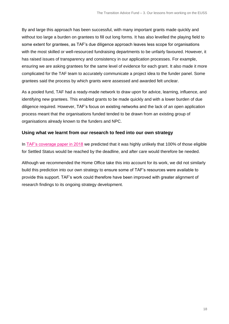By and large this approach has been successful, with many important grants made quickly and without too large a burden on grantees to fill out long forms. It has also levelled the playing field to some extent for grantees, as TAF's due diligence approach leaves less scope for organisations with the most skilled or well-resourced fundraising departments to be unfairly favoured. However, it has raised issues of transparency and consistency in our application processes. For example, ensuring we are asking grantees for the same level of evidence for each grant. It also made it more complicated for the TAF team to accurately communicate a project idea to the funder panel. Some grantees said the process by which grants were assessed and awarded felt unclear.

As a pooled fund, TAF had a ready-made network to draw upon for advice, learning, influence, and identifying new grantees. This enabled grants to be made quickly and with a lower burden of due diligence required. However, TAF's focus on existing networks and the lack of an open application process meant that the organisations funded tended to be drawn from an existing group of organisations already known to the funders and NPC.

#### **Using what we learnt from our research to feed into our own strategy**

In [TAF's coverage paper in 2018](https://www.thinknpc.org/resource-hub/settled-status-what-level-of-take-up-can-we-expect/) we predicted that it was highly unlikely that 100% of those eligible for Settled Status would be reached by the deadline, and after care would therefore be needed.

Although we recommended the Home Office take this into account for its work, we did not similarly build this prediction into our own strategy to ensure some of TAF's resources were available to provide this support. TAF's work could therefore have been improved with greater alignment of research findings to its ongoing strategy development.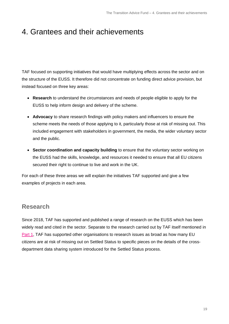## <span id="page-18-0"></span>4. Grantees and their achievements

TAF focused on supporting initiatives that would have multiplying effects across the sector and on the structure of the EUSS. It therefore did not concentrate on funding direct advice provision, but instead focused on three key areas:

- **Research** to understand the circumstances and needs of people eligible to apply for the EUSS to help inform design and delivery of the scheme.
- **Advocacy** to share research findings with policy makers and influencers to ensure the scheme meets the needs of those applying to it, particularly those at risk of missing out. This included engagement with stakeholders in government, the media, the wider voluntary sector and the public.
- **Sector coordination and capacity building** to ensure that the voluntary sector working on the EUSS had the skills, knowledge, and resources it needed to ensure that all EU citizens secured their right to continue to live and work in the UK.

For each of these three areas we will explain the initiatives TAF supported and give a few examples of projects in each area.

### **Research**

Since 2018, TAF has supported and published a range of research on the EUSS which has been widely read and cited in the sector. Separate to the research carried out by TAF itself mentioned in [Part 1,](#page-3-0) TAF has supported other organisations to research issues as broad as how many EU citizens are at risk of missing out on Settled Status to specific pieces on the details of the crossdepartment data sharing system introduced for the Settled Status process.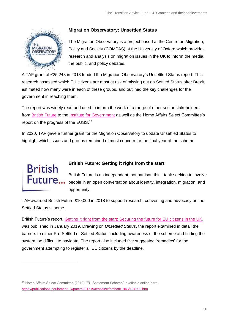

#### **Migration Observatory: Unsettled Status**

The Migration Observatory is a project based at the Centre on Migration, Policy and Society (COMPAS) at the University of Oxford which provides research and analysis on migration issues in the UK to inform the media, the public, and policy debates.

A TAF grant of £25,248 in 2018 funded the Migration Observatory's [Unsettled Status](https://migrationobservatory.ox.ac.uk/resources/reports/unsettled-status-which-eu-citizens-are-at-risk-of-failing-to-secure-their-rights-after-brexit/) report. This research assessed which EU citizens are most at risk of missing out on Settled Status after Brexit, estimated how many were in each of these groups, and outlined the key challenges for the government in reaching them.

The report was widely read and used to inform the work of a range of other sector stakeholders from **British Future** to the *Institute for Government* as well as the Home Affairs Select Committee's report on the progress of the EUSS.<sup>15</sup>

In 2020, TAF gave a further grant for the Migration Observatory to update Unsettled Status to highlight which issues and groups remained of most concern for the final year of the scheme.



#### **British Future: Getting it right from the start**

British Future is an independent, nonpartisan think tank seeking to involve people in an open conversation about identity, integration, migration, and opportunity.

TAF awarded British Future £10,000 in 2018 to support research, convening and advocacy on the Settled Status scheme.

British Future's report, Getting it right from the start: [Securing](http://www.britishfuture.org/publication/getting-right-start-securing-future-eu-citizens-uk/) the future for EU citizens in the UK, was published in January 2019. Drawing on *Unsettled Status*, the report examined in detail the barriers to either Pre-Settled or Settled Status, including awareness of the scheme and finding the system too difficult to navigate. The report also included five suggested 'remedies' for the government attempting to register all EU citizens by the deadline.

<sup>15</sup> Home Affairs Select Committee (2019) "EU Settlement Scheme", available online here: <https://publications.parliament.uk/pa/cm201719/cmselect/cmhaff/1945/194502.htm>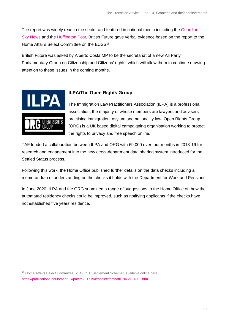The report was widely read in the sector and featured in national media including the [Guardian,](https://www.theguardian.com/politics/2019/jan/21/eu-citizen-registration-in-uk-could-become-new-windrush-say-migration-experts) Sky [News](https://news.sky.com/story/eu-settled-status-launch-sparks-fears-of-a-new-windrush-11613355) and the [Huffington Post.](https://www.huffingtonpost.co.uk/entry/settlement-scheme-eu-citizens-windrush_uk_5c45b616e4b0bfa693c58005) British Future gave verbal evidence based on the report to the Home Affairs Select Committee on the EUSS<sup>16</sup>.

British Future was asked by Alberto Costa MP to be the secretariat of a new All Party Parliamentary Group on Citizenship and Citizens' rights, which will allow them to continue drawing attention to these issues in the coming months.



#### **ILPA/The Open Rights Group**

The [Immigration Law Practitioners Association \(ILPA\)](http://www.ilpa.org.uk/) is a professional association, the majority of whose members are lawyers and advisers practising immigration, asylum and nationality law. [Open Rights Group](https://www.openrightsgroup.org/)  [\(ORG\)](https://www.openrightsgroup.org/) is a UK based digital campaigning organisation working to protect the rights to privacy and free speech online.

TAF funded a collaboration between ILPA and ORG with £9,000 over four months in 2018-19 for research and engagement into the new cross-department data sharing system introduced for the Settled Status process.

Following this work, the Home Office published further details on the data checks including a memorandum of understanding on the checks it holds with the Department for Work and Pensions.

In June 2020, ILPA and the ORG submitted a range of suggestions to the Home Office on how the automated residency checks could be improved, such as notifying applicants if the checks have not established five years residence.

<sup>16</sup> Home Affairs Select Committee (2019) "EU Settlement Scheme", available online here: <https://publications.parliament.uk/pa/cm201719/cmselect/cmhaff/1945/194502.htm>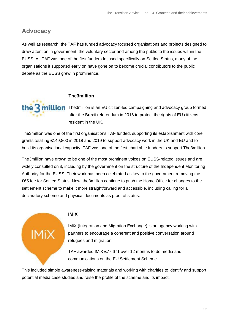### **Advocacy**

As well as research, the TAF has funded advocacy focused organisations and projects designed to draw attention in government, the voluntary sector and among the public to the issues within the EUSS. As TAF was one of the first funders focused specifically on Settled Status, many of the organisations it supported early on have gone on to become crucial contributors to the public debate as the EUSS grew in prominence.



**million** [The3million](https://www.the3million.org.uk/) is an EU citizen-led campaigning and advocacy group formed after the Brexit referendum in 2016 to protect the rights of EU citizens resident in the UK.

The3million was one of the first organisations TAF funded, supporting its establishment with core grants totalling £149,800 in 2018 and 2019 to support advocacy work in the UK and EU and to build its organisational capacity. TAF was one of the first charitable funders to support The3million.

The3million have grown to be one of the most prominent voices on EUSS-related issues and are widely consulted on it, including by the government on the structure of the Independent Monitoring Authority for the EUSS. Their work has been celebrated as key to the government removing the £65 fee for Settled Status. Now, the3million continue to push the Home Office for changes to the settlement scheme to make it more straightforward and accessible, including calling for a declaratory scheme and physical documents as proof of status[.](https://www.the3million.org.uk/)



#### **IMiX**

IMiX (Integration and Migration Exchange) is an agency working with partners to encourage a coherent and positive conversation around refugees and migration.

TAF awarded IMiX £77,671 over 12 months to do media and communications on the EU Settlement Scheme.

This included simple awareness-raising materials and working with charities to identify and support potential media case studies and raise the profile of the scheme and its impact.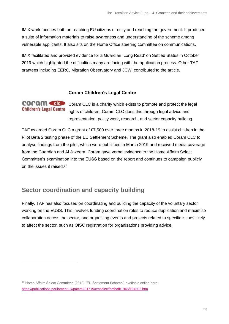IMiX work focuses both on reaching EU citizens directly and reaching the government. It produced a suite of information materials to raise awareness and understanding of the scheme among vulnerable applicants. It also sits on the Home Office steering committee on communications.

IMiX facilitated and provided evidence for a Guardian ['Long Read'](https://www.theguardian.com/politics/2019/oct/08/ive-been-here-50-years-the-eu-citizens-struggling-for-the-right-to-stay-in-britain) on Settled Status in October 2019 which highlighted the difficulties many are facing with the application process. Other TAF grantees including EERC, Migration Observatory and JCWI contributed to the article.

#### **Coram Children's Legal Centre**

**COPAM CHC** Coram CLC is a charity which exists to promote and protect the legal **Children's Legal Centre** rights of children. Coram CLC does this through legal advice and representation, policy work, research, and sector capacity building.

TAF awarded Coram CLC a grant of £7,500 over three months in 2018-19 to assist children in the Pilot Beta 2 testing phase of the EU Settlement Scheme. The grant also enabled Coram CLC to analyse findings from the pilot, which were published in March 2019 and received media coverage from the Guardian and Al Jazeera. Coram gave verbal evidence to the Home Affairs Select Committee's examination into the EUSS based on the report and continues to campaign publicly on the issues it raised.<sup>17</sup>

### **Sector coordination and capacity building**

Finally, TAF has also focused on coordinating and building the capacity of the voluntary sector working on the EUSS. This involves funding coordination roles to reduce duplication and maximise collaboration across the sector, and organising events and projects related to specific issues likely to affect the sector, such as OISC registration for organisations providing advice.

<sup>17</sup> Home Affairs Select Committee (2019) "EU Settlement Scheme", available online here: <https://publications.parliament.uk/pa/cm201719/cmselect/cmhaff/1945/194502.htm>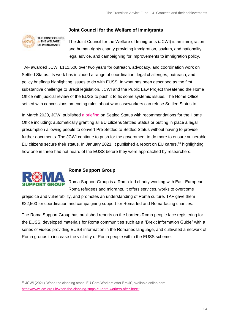

#### **Joint Council for the Welfare of Immigrants**

The Joint Council for the Welfare of Immigrants (JCWI) is an immigration and human rights charity providing immigration, asylum, and nationality legal advice, and campaigning for improvements to immigration policy.

TAF awarded JCWI £111,500 over two years for outreach, advocacy, and coordination work on Settled Status. Its work has included a range of coordination, legal challenges, outreach, and policy briefings highlighting issues to do with EUSS. In what has been described as the first substantive challenge to Brexit legislation, JCWI and the Public Law Project threatened the Home Office with judicial review of the EUSS to push it to fix some systemic issues. The Home Office settled with concessions amending rules about who caseworkers can refuse Settled Status to.

In March 2020, JCWI published [a briefing](https://www.jcwi.org.uk/Handlers/Download.ashx?IDMF=a27b749a-2329-4b0d-82b4-934b6b0ce2b3) on Settled Status with recommendations for the Home Office including: automatically granting all EU citizens Settled Status or putting in place a legal presumption allowing people to convert Pre-Settled to Settled Status without having to provide further documents. The JCWI continue to push for the government to do more to ensure vulnerable EU citizens secure their status. In January 2021, it published a report on EU carers,<sup>18</sup> highlighting how one in three had not heard of the EUSS before they were approached by researchers.



#### **Roma Support Group**

<span id="page-23-0"></span>Roma Support Group is a Roma-led charity working with East-European Roma refugees and migrants. It offers services, works to overcome

prejudice and vulnerability, and promotes an understanding of Roma culture. TAF gave them £22,500 for coordination and campaigning support for Roma-led and Roma-facing charities.

The Roma Support Group has published reports on the barriers Roma people face registering for the EUSS, developed materials for Roma communities such as a "Brexit Information Guide" with a series of videos providing EUSS information in the Romanes language, and cultivated a network of Roma groups to increase the visibility of Roma people within the EUSS scheme.

<sup>&</sup>lt;sup>18</sup> JCWI (2021) 'When the clapping stops: EU Care Workers after Brexit', available online here: <https://www.jcwi.org.uk/when-the-clapping-stops-eu-care-workers-after-brexit>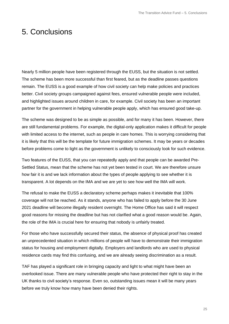## 5. Conclusions

Nearly 5 million people have been registered through the EUSS, but the situation is not settled. The scheme has been more successful than first feared, but as the deadline passes questions remain. The EUSS is a good example of how civil society can help make policies and practices better. Civil society groups campaigned against fees, ensured vulnerable people were included, and highlighted issues around children in care, for example. Civil society has been an important partner for the government in helping vulnerable people apply, which has ensured good take-up.

The scheme was designed to be as simple as possible, and for many it has been. However, there are still fundamental problems. For example, the digital-only application makes it difficult for people with limited access to the internet, such as people in care homes. This is worrying considering that it is likely that this will be the template for future immigration schemes. It may be years or decades before problems come to light as the government is unlikely to consciously look for such evidence.

Two features of the EUSS, that you can repeatedly apply and that people can be awarded Pre-Settled Status, mean that the scheme has not yet been tested in court. We are therefore unsure how fair it is and we lack information about the types of people applying to see whether it is transparent. A lot depends on the IMA and we are yet to see how well the IMA will work.

The refusal to make the EUSS a declaratory scheme perhaps makes it inevitable that 100% coverage will not be reached. As it stands, anyone who has failed to apply before the 30 June 2021 deadline will become illegally resident overnight. The Home Office has said it will respect good reasons for missing the deadline but has not clarified what a good reason would be. Again, the role of the IMA is crucial here for ensuring that nobody is unfairly treated.

For those who have successfully secured their status, the absence of physical proof has created an unprecedented situation in which millions of people will have to demonstrate their immigration status for housing and employment digitally. Employers and landlords who are used to physical residence cards may find this confusing, and we are already seeing discrimination as a result.

TAF has played a significant role in bringing capacity and light to what might have been an overlooked issue. There are many vulnerable people who have protected their right to stay in the UK thanks to civil society's response. Even so, outstanding issues mean it will be many years before we truly know how many have been denied their rights.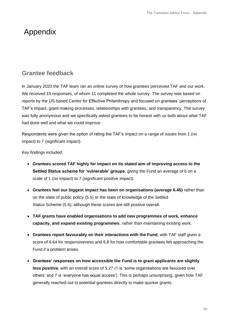## <span id="page-25-0"></span>Appendix

### **Grantee feedback**

In January 2020 the TAF team ran an online survey of how grantees perceived TAF and our work. We received 15 responses, of whom 11 completed the whole survey. The survey was based on reports by the US-based Centre for Effective Philanthropy and focused on grantees' perceptions of TAF's impact, grant-making processes, relationships with grantees, and transparency. The survey was fully anonymous and we specifically asked grantees to be honest with us both about what TAF had done well and what we could improve.

Respondents were given the option of rating the TAF's impact on a range of issues from 1 (no impact) to 7 (significant impact).

Key findings included:

- **Grantees scored TAF highly for impact on its stated aim of improving access to the Settled Status scheme for 'vulnerable' groups**, giving the Fund an average of 6 on a scale of 1 (no impact) to 7 (significant positive impact).
- **Grantees feel our biggest impact has been on organisations (average 6.45)** rather than on the state of public policy (5.5) or the state of knowledge of the Settled Status Scheme (5.6), although these scores are still positive overall.
- **TAF grants have enabled organisations to add new programmes of work, enhance capacity, and expand existing programmes**, rather than maintaining existing work.
- **Grantees report favourably on their interactions with the Fund**, with TAF staff given a score of 6.64 for responsiveness and 6.8 for how comfortable grantees felt approaching the Fund if a problem arises.
- **Grantees' responses on how accessible the Fund is to grant applicants are slightly**  less positive, with an overall score of 5.27 (1 is 'some organisations are favoured over others' and 7 is 'everyone has equal access'). This is perhaps unsurprising, given how TAF generally reached out to potential grantees directly to make quicker grants.